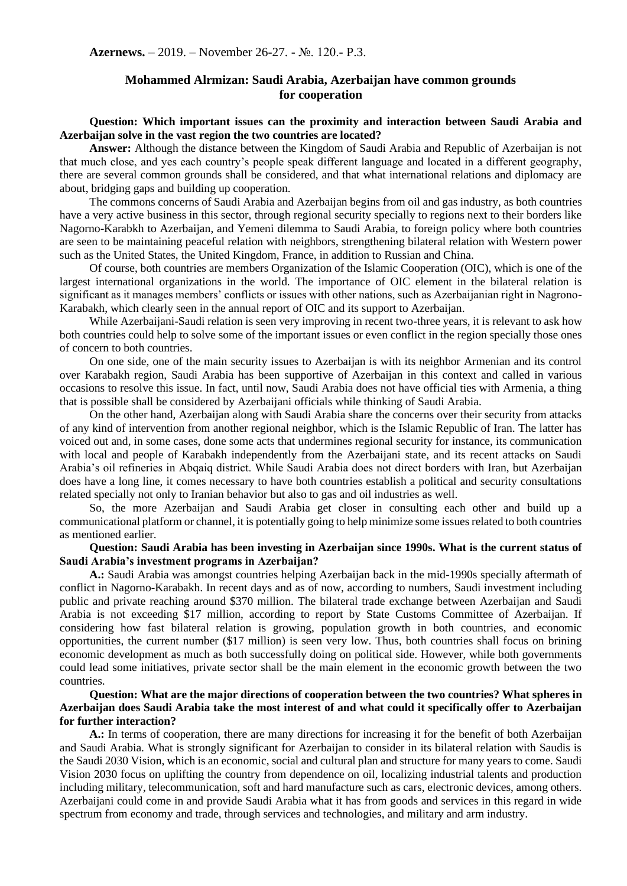# **Mohammed Alrmizan: Saudi Arabia, Azerbaijan have common grounds for cooperation**

# **Question: Which important issues can the proximity and interaction between Saudi Arabia and Azerbaijan solve in the vast region the two countries are located?**

**Answer:** Although the distance between the Kingdom of Saudi Arabia and Republic of Azerbaijan is not that much close, and yes each country's people speak different language and located in a different geography, there are several common grounds shall be considered, and that what international relations and diplomacy are about, bridging gaps and building up cooperation.

The commons concerns of Saudi Arabia and Azerbaijan begins from oil and gas industry, as both countries have a very active business in this sector, through regional security specially to regions next to their borders like Nagorno-Karabkh to Azerbaijan, and Yemeni dilemma to Saudi Arabia, to foreign policy where both countries are seen to be maintaining peaceful relation with neighbors, strengthening bilateral relation with Western power such as the United States, the United Kingdom, France, in addition to Russian and China.

Of course, both countries are members Organization of the Islamic Cooperation (OIC), which is one of the largest international organizations in the world. The importance of OIC element in the bilateral relation is significant as it manages members' conflicts or issues with other nations, such as Azerbaijanian right in Nagrono-Karabakh, which clearly seen in the annual report of OIC and its support to Azerbaijan.

While Azerbaijani-Saudi relation is seen very improving in recent two-three years, it is relevant to ask how both countries could help to solve some of the important issues or even conflict in the region specially those ones of concern to both countries.

On one side, one of the main security issues to Azerbaijan is with its neighbor Armenian and its control over Karabakh region, Saudi Arabia has been supportive of Azerbaijan in this context and called in various occasions to resolve this issue. In fact, until now, Saudi Arabia does not have official ties with Armenia, a thing that is possible shall be considered by Azerbaijani officials while thinking of Saudi Arabia.

On the other hand, Azerbaijan along with Saudi Arabia share the concerns over their security from attacks of any kind of intervention from another regional neighbor, which is the Islamic Republic of Iran. The latter has voiced out and, in some cases, done some acts that undermines regional security for instance, its communication with local and people of Karabakh independently from the Azerbaijani state, and its recent attacks on Saudi Arabia's oil refineries in Abqaiq district. While Saudi Arabia does not direct borders with Iran, but Azerbaijan does have a long line, it comes necessary to have both countries establish a political and security consultations related specially not only to Iranian behavior but also to gas and oil industries as well.

So, the more Azerbaijan and Saudi Arabia get closer in consulting each other and build up a communicational platform or channel, it is potentially going to help minimize some issues related to both countries as mentioned earlier.

## **Question: Saudi Arabia has been investing in Azerbaijan since 1990s. What is the current status of Saudi Arabia's investment programs in Azerbaijan?**

**A.:** Saudi Arabia was amongst countries helping Azerbaijan back in the mid-1990s specially aftermath of conflict in Nagorno-Karabakh. In recent days and as of now, according to numbers, Saudi investment including public and private reaching around \$370 million. The bilateral trade exchange between Azerbaijan and Saudi Arabia is not exceeding \$17 million, according to report by State Customs Committee of Azerbaijan. If considering how fast bilateral relation is growing, population growth in both countries, and economic opportunities, the current number (\$17 million) is seen very low. Thus, both countries shall focus on brining economic development as much as both successfully doing on political side. However, while both governments could lead some initiatives, private sector shall be the main element in the economic growth between the two countries.

## **Question: What are the major directions of cooperation between the two countries? What spheres in Azerbaijan does Saudi Arabia take the most interest of and what could it specifically offer to Azerbaijan for further interaction?**

**A.:** In terms of cooperation, there are many directions for increasing it for the benefit of both Azerbaijan and Saudi Arabia. What is strongly significant for Azerbaijan to consider in its bilateral relation with Saudis is the Saudi 2030 Vision, which is an economic, social and cultural plan and structure for many years to come. Saudi Vision 2030 focus on uplifting the country from dependence on oil, localizing industrial talents and production including military, telecommunication, soft and hard manufacture such as cars, electronic devices, among others. Azerbaijani could come in and provide Saudi Arabia what it has from goods and services in this regard in wide spectrum from economy and trade, through services and technologies, and military and arm industry.